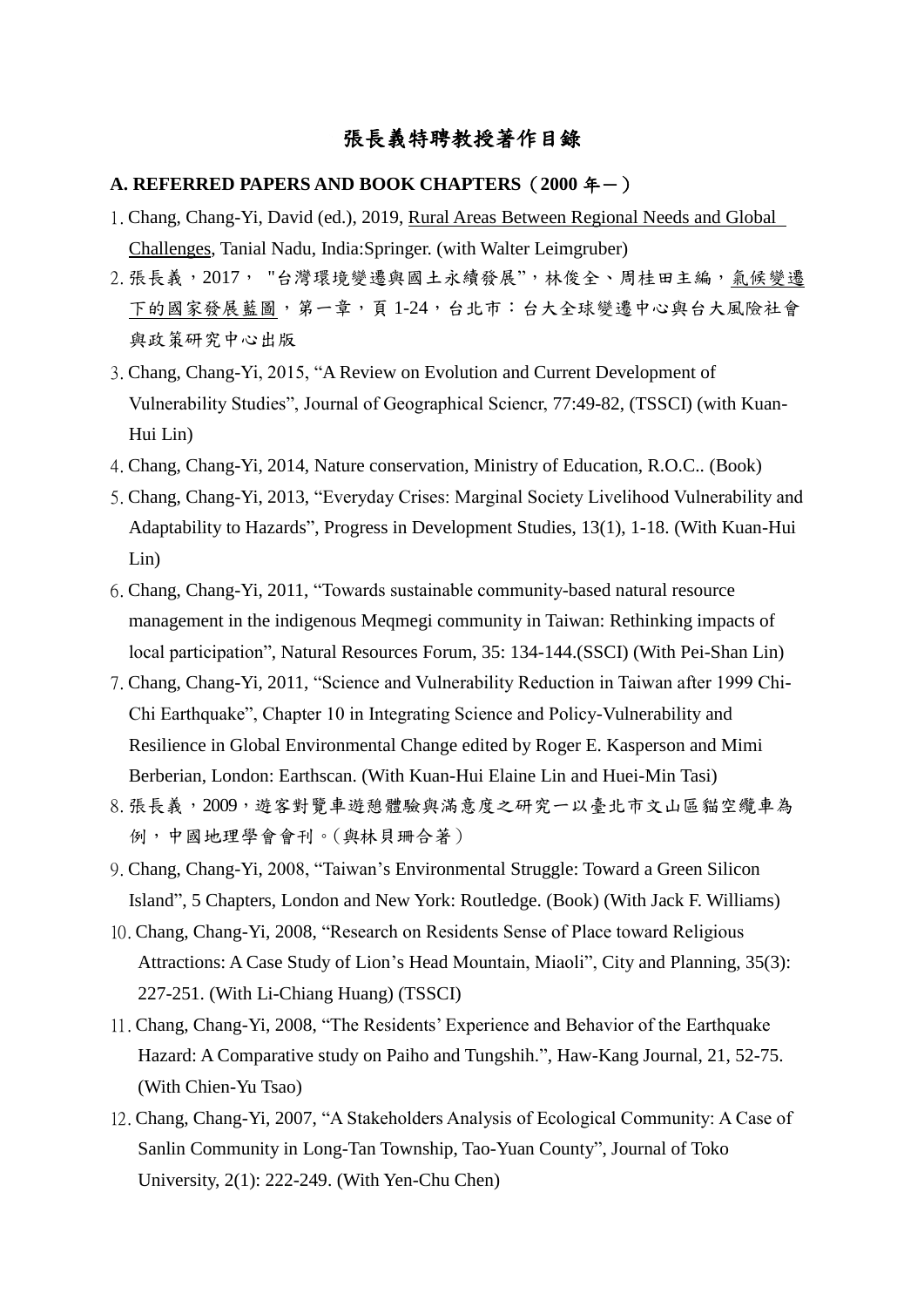## 張長義特聘教授著作目錄

## **A. REFERRED PAPERS AND BOOK CHAPTERS (2000年一)**

- 1.Chang, Chang-Yi, David (ed.), 2019, Rural Areas Between Regional Needs and Global Challenges, Tanial Nadu, India:Springer. (with Walter Leimgruber)
- 2. 張長義, 2017, "台灣環境變遷與國土永續發展", 林俊全、周桂田主編,氣候變遷 下的國家發展藍圖,第一章,頁 1-24,台北市:台大全球變遷中心與台大風險社會 與政策研究中心出版
- 3.Chang, Chang-Yi, 2015, "A Review on Evolution and Current Development of Vulnerability Studies", Journal of Geographical Sciencr, 77:49-82, (TSSCI) (with Kuan-Hui Lin)
- 4.Chang, Chang-Yi, 2014, Nature conservation, Ministry of Education, R.O.C.. (Book)
- 5.Chang, Chang-Yi, 2013, "Everyday Crises: Marginal Society Livelihood Vulnerability and Adaptability to Hazards", Progress in Development Studies, 13(1), 1-18. (With Kuan-Hui Lin)
- 6.Chang, Chang-Yi, 2011, "Towards sustainable community-based natural resource management in the indigenous Meqmegi community in Taiwan: Rethinking impacts of local participation", Natural Resources Forum, 35: 134-144.(SSCI) (With Pei-Shan Lin)
- 7.Chang, Chang-Yi, 2011, "Science and Vulnerability Reduction in Taiwan after 1999 Chi-Chi Earthquake", Chapter 10 in Integrating Science and Policy-Vulnerability and Resilience in Global Environmental Change edited by Roger E. Kasperson and Mimi Berberian, London: Earthscan. (With Kuan-Hui Elaine Lin and Huei-Min Tasi)
- 8.張長義,2009,遊客對覽車遊憩體驗與滿意度之研究一以臺北市文山區貓空纜車為 例,中國地理學會會刊。(與林貝珊合著)
- 9.Chang, Chang-Yi, 2008, "Taiwan's Environmental Struggle: Toward a Green Silicon Island", 5 Chapters, London and New York: Routledge. (Book) (With Jack F. Williams)
- 10.Chang, Chang-Yi, 2008, "Research on Residents Sense of Place toward Religious Attractions: A Case Study of Lion's Head Mountain, Miaoli", City and Planning, 35(3): 227-251. (With Li-Chiang Huang) (TSSCI)
- 11.Chang, Chang-Yi, 2008, "The Residents' Experience and Behavior of the Earthquake Hazard: A Comparative study on Paiho and Tungshih.", Haw-Kang Journal, 21, 52-75. (With Chien-Yu Tsao)
- 12.Chang, Chang-Yi, 2007, "A Stakeholders Analysis of Ecological Community: A Case of Sanlin Community in Long-Tan Township, Tao-Yuan County", Journal of Toko University, 2(1): 222-249. (With Yen-Chu Chen)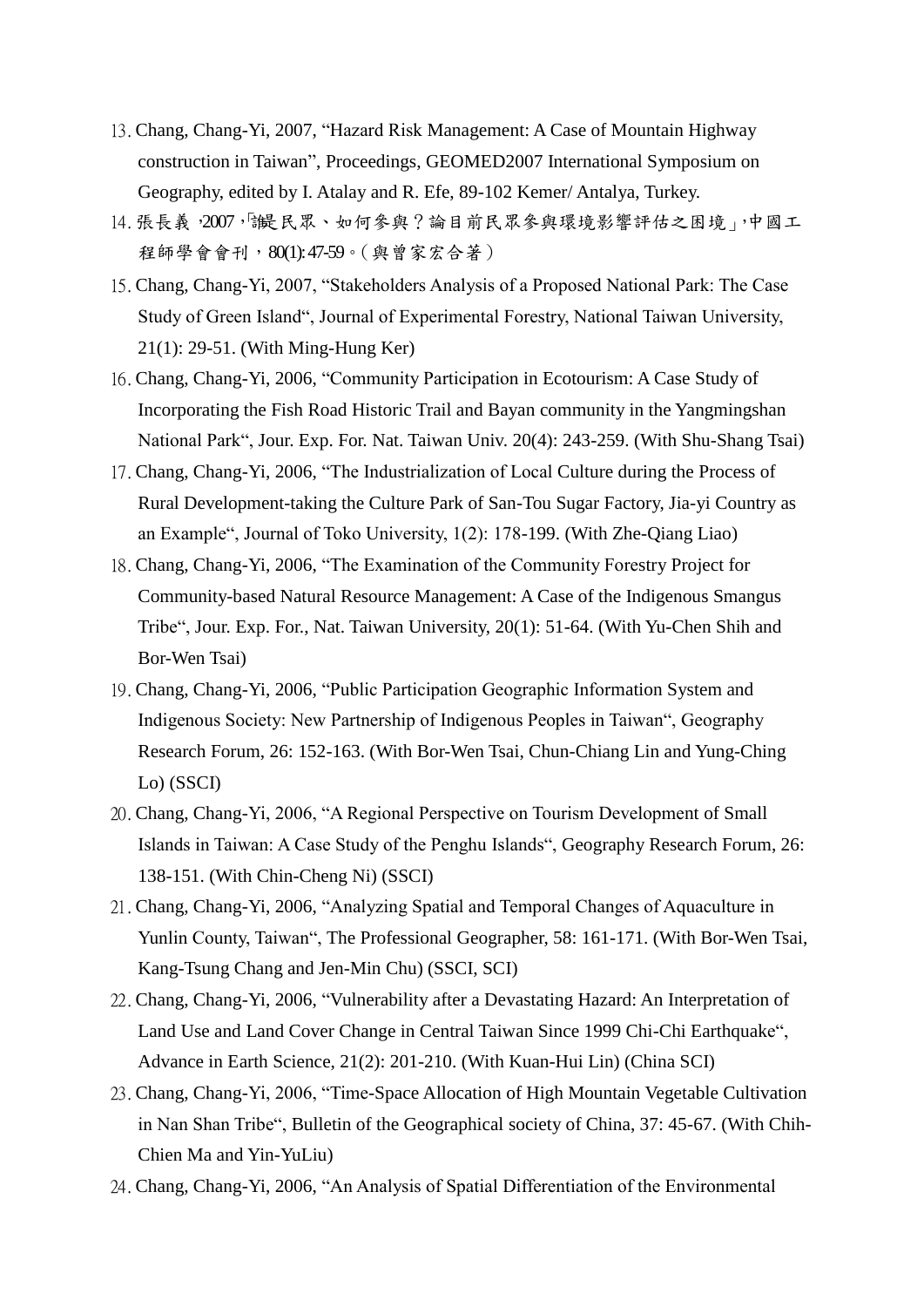- 13.Chang, Chang-Yi, 2007, "Hazard Risk Management: A Case of Mountain Highway construction in Taiwan", Proceedings, GEOMED2007 International Symposium on Geography, edited by I. Atalay and R. Efe, 89-102 Kemer/ Antalya, Turkey.
- 14. 張長義, 2007, 「一民眾、如何參與?論目前民眾參與環境影響評估之困境」,中國工 程師學會會刊,80(1): 47-59。(與曾家宏合著)
- 15.Chang, Chang-Yi, 2007, "Stakeholders Analysis of a Proposed National Park: The Case Study of Green Island", Journal of Experimental Forestry, National Taiwan University, 21(1): 29-51. (With Ming-Hung Ker)
- 16.Chang, Chang-Yi, 2006, "Community Participation in Ecotourism: A Case Study of Incorporating the Fish Road Historic Trail and Bayan community in the Yangmingshan National Park", Jour. Exp. For. Nat. Taiwan Univ. 20(4): 243-259. (With Shu-Shang Tsai)
- 17.Chang, Chang-Yi, 2006, "The Industrialization of Local Culture during the Process of Rural Development-taking the Culture Park of San-Tou Sugar Factory, Jia-yi Country as an Example", Journal of Toko University, 1(2): 178-199. (With Zhe-Qiang Liao)
- 18.Chang, Chang-Yi, 2006, "The Examination of the Community Forestry Project for Community-based Natural Resource Management: A Case of the Indigenous Smangus Tribe", Jour. Exp. For., Nat. Taiwan University, 20(1): 51-64. (With Yu-Chen Shih and Bor-Wen Tsai)
- 19.Chang, Chang-Yi, 2006, "Public Participation Geographic Information System and Indigenous Society: New Partnership of Indigenous Peoples in Taiwan", Geography Research Forum, 26: 152-163. (With Bor-Wen Tsai, Chun-Chiang Lin and Yung-Ching Lo) (SSCI)
- 20.Chang, Chang-Yi, 2006, "A Regional Perspective on Tourism Development of Small Islands in Taiwan: A Case Study of the Penghu Islands", Geography Research Forum, 26: 138-151. (With Chin-Cheng Ni) (SSCI)
- 21.Chang, Chang-Yi, 2006, "Analyzing Spatial and Temporal Changes of Aquaculture in Yunlin County, Taiwan", The Professional Geographer, 58: 161-171. (With Bor-Wen Tsai, Kang-Tsung Chang and Jen-Min Chu) (SSCI, SCI)
- 22.Chang, Chang-Yi, 2006, "Vulnerability after a Devastating Hazard: An Interpretation of Land Use and Land Cover Change in Central Taiwan Since 1999 Chi-Chi Earthquake", Advance in Earth Science, 21(2): 201-210. (With Kuan-Hui Lin) (China SCI)
- 23.Chang, Chang-Yi, 2006, "Time-Space Allocation of High Mountain Vegetable Cultivation in Nan Shan Tribe", Bulletin of the Geographical society of China, 37: 45-67. (With Chih-Chien Ma and Yin-YuLiu)
- 24.Chang, Chang-Yi, 2006, "An Analysis of Spatial Differentiation of the Environmental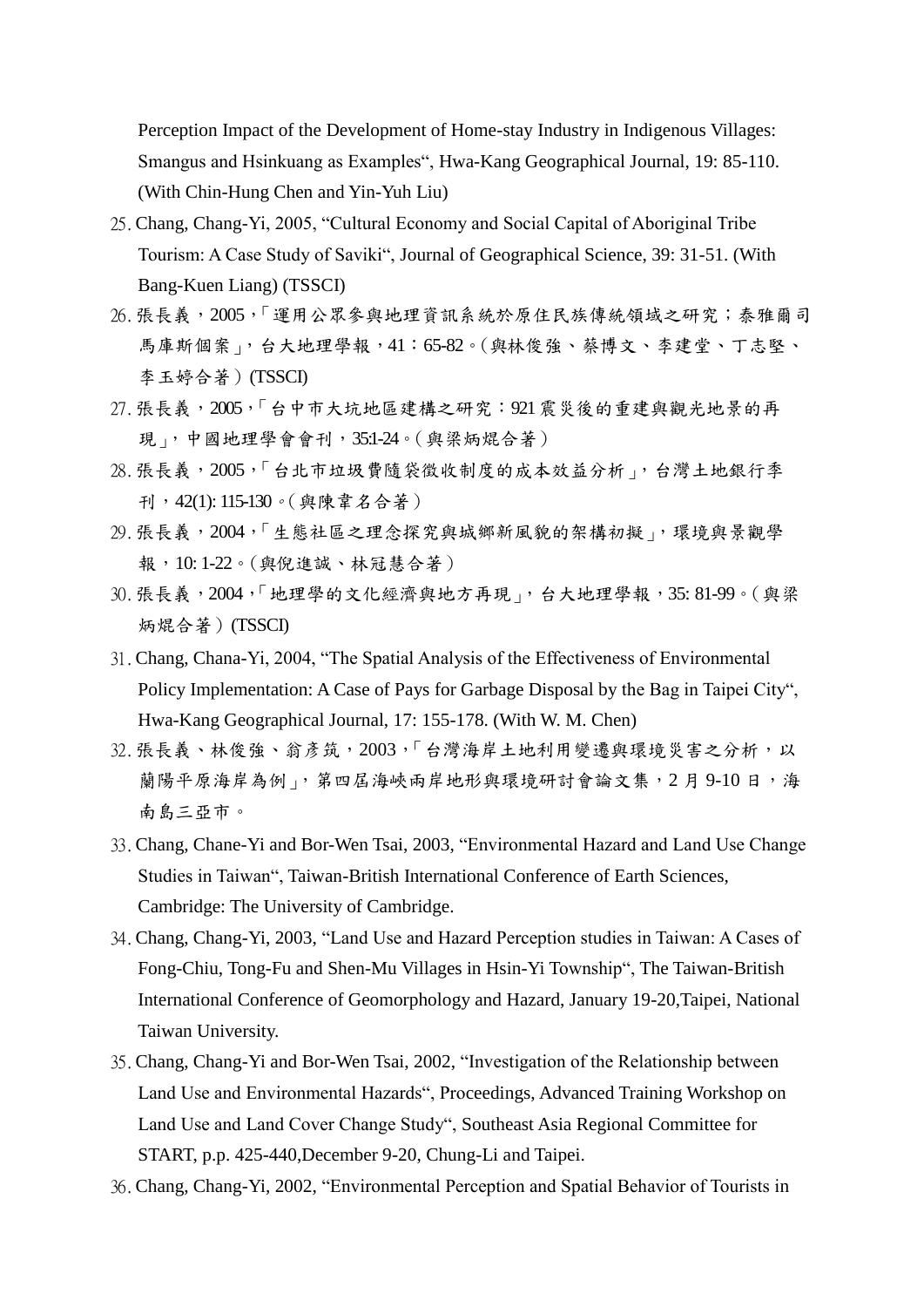Perception Impact of the Development of Home-stay Industry in Indigenous Villages: Smangus and Hsinkuang as Examples", Hwa-Kang Geographical Journal, 19: 85-110. (With Chin-Hung Chen and Yin-Yuh Liu)

- 25.Chang, Chang-Yi, 2005, "Cultural Economy and Social Capital of Aboriginal Tribe Tourism: A Case Study of Saviki", Journal of Geographical Science, 39: 31-51. (With Bang-Kuen Liang) (TSSCI)
- 26.張長義,2005,「運用公眾參與地理資訊系統於原住民族傳統領域之研究;泰雅爾司 馬庫斯個案」,台大地理學報,41:65-82。(與林俊強、蔡博文、李建堂、丁志堅、 李玉婷合著)(TSSCI)
- 27.張長義,2005,「台中市大坑地區建構之研究:921震災後的重建與觀光地景的再 現」,中國地理學會會刊,35:1-24。(與梁炳焜合著)
- 28.張長義,2005,「台北市垃圾費隨袋徵收制度的成本效益分析」,台灣土地銀行季 刊,42(1): 115-130。(與陳韋名合著)
- 29.張長義,2004,「生態社區之理念探究與城鄉新風貌的架構初擬」,環境與景觀學 報,10: 1-22。(與倪進誠、林冠慧合著)
- 30.張長義,2004,「地理學的文化經濟與地方再現」,台大地理學報,35: 81-99。(與梁 炳焜合著)(TSSCI)
- 31.Chang, Chana-Yi, 2004, "The Spatial Analysis of the Effectiveness of Environmental Policy Implementation: A Case of Pays for Garbage Disposal by the Bag in Taipei City", Hwa-Kang Geographical Journal, 17: 155-178. (With W. M. Chen)
- 32. 張長義、林俊強、翁彥筑, 2003,「台灣海岸土地利用變遷與環境災害之分析, 以 蘭陽平原海岸為例」,第四屆海峽兩岸地形與環境研討會論文集,2月9-10日,海 南島三亞市。
- 33.Chang, Chane-Yi and Bor-Wen Tsai, 2003, "Environmental Hazard and Land Use Change Studies in Taiwan", Taiwan-British International Conference of Earth Sciences, Cambridge: The University of Cambridge.
- 34.Chang, Chang-Yi, 2003, "Land Use and Hazard Perception studies in Taiwan: A Cases of Fong-Chiu, Tong-Fu and Shen-Mu Villages in Hsin-Yi Township", The Taiwan-British International Conference of Geomorphology and Hazard, January 19-20,Taipei, National Taiwan University.
- 35.Chang, Chang-Yi and Bor-Wen Tsai, 2002, "Investigation of the Relationship between Land Use and Environmental Hazards", Proceedings, Advanced Training Workshop on Land Use and Land Cover Change Study", Southeast Asia Regional Committee for START, p.p. 425-440,December 9-20, Chung-Li and Taipei.
- 36.Chang, Chang-Yi, 2002, "Environmental Perception and Spatial Behavior of Tourists in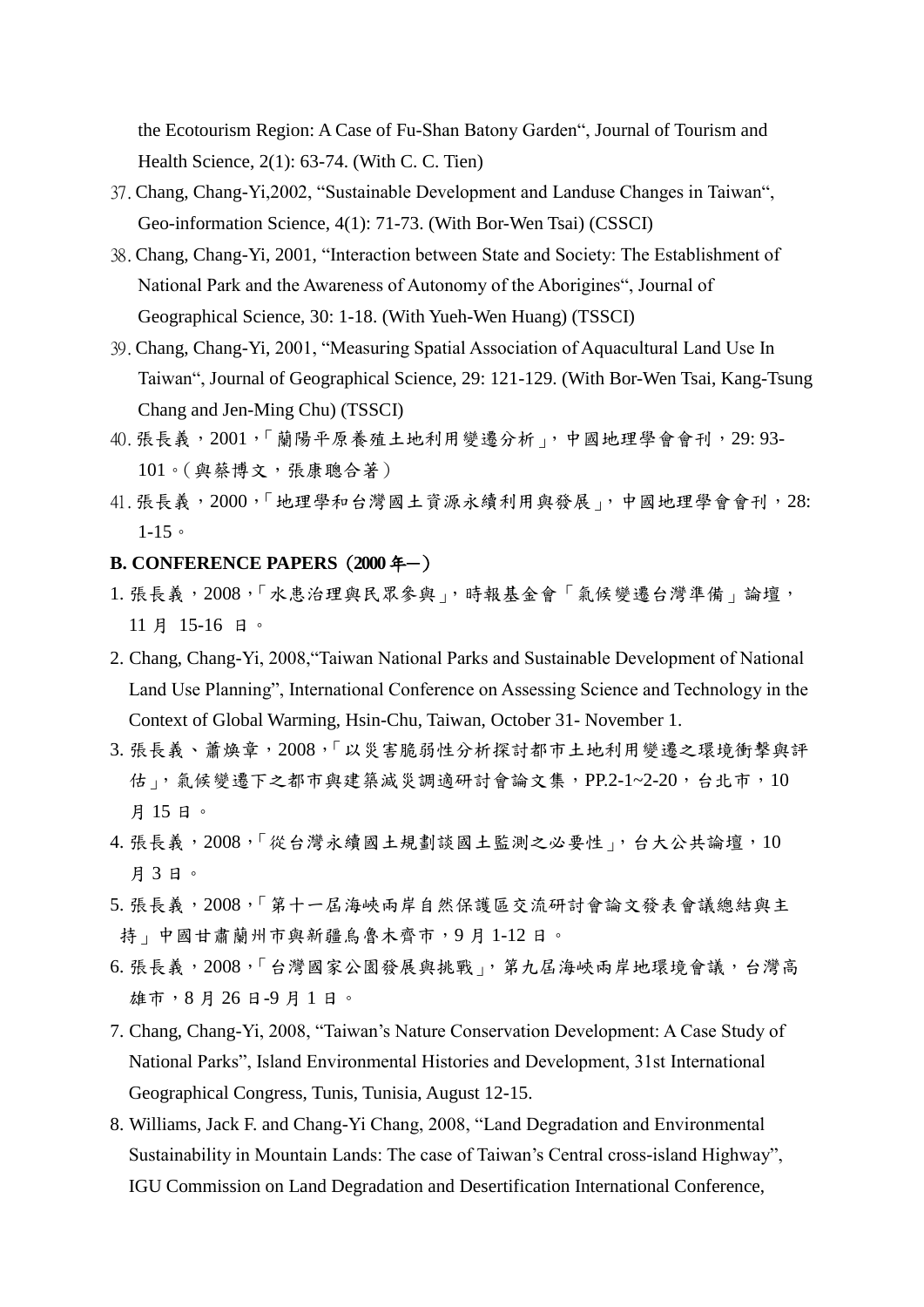the Ecotourism Region: A Case of Fu-Shan Batony Garden", Journal of Tourism and Health Science, 2(1): 63-74. (With C. C. Tien)

- 37.Chang, Chang-Yi,2002, "Sustainable Development and Landuse Changes in Taiwan", Geo-information Science, 4(1): 71-73. (With Bor-Wen Tsai) (CSSCI)
- 38.Chang, Chang-Yi, 2001, "Interaction between State and Society: The Establishment of National Park and the Awareness of Autonomy of the Aborigines", Journal of Geographical Science, 30: 1-18. (With Yueh-Wen Huang) (TSSCI)
- 39.Chang, Chang-Yi, 2001, "Measuring Spatial Association of Aquacultural Land Use In Taiwan", Journal of Geographical Science, 29: 121-129. (With Bor-Wen Tsai, Kang-Tsung Chang and Jen-Ming Chu) (TSSCI)
- 40. 張長義, 2001, 「蘭陽平原養殖土地利用變遷分析」, 中國地理學會會刊, 29: 93-101。(與蔡博文,張康聰合著)
- 41. 張長義, 2000, 「地理學和台灣國土資源永續利用與發展」, 中國地理學會會刊, 28:  $1 - 15$

## **B. CONFERENCE PAPERS (2000年-)**

- 1. 張長義, 2008, 「水患治理與民眾參與」,時報基金會「氣候變遷台灣準備」論壇, 11 月 15-16 日。
- 2. Chang, Chang-Yi, 2008,"Taiwan National Parks and Sustainable Development of National Land Use Planning", International Conference on Assessing Science and Technology in the Context of Global Warming, Hsin-Chu, Taiwan, October 31- November 1.
- 3. 張長義、蕭煥章, 2008,「以災害脆弱性分析探討都市土地利用變遷之環境衝撃與評 估」,氣候變遷下之都市與建築減災調適研討會論文集,PP.2-1~2-20,台北市,10 月 15 日。
- 4. 張長義, 2008, 「從台灣永續國土規劃談國土監測之必要性」, 台大公共論壇, 10 月 3 日。
- 5. 張長義, 2008, 「第十一屆海峽兩岸自然保護區交流研討會論文發表會議總結與主 持」中國甘肅蘭州市與新疆烏魯木齊市,9 月 1-12 日。
- 6. 張長義,2008,「台灣國家公園發展與挑戰」,第九屆海峽兩岸地環境會議,台灣高 雄市,8 月 26 日-9 月 1 日。
- 7. Chang, Chang-Yi, 2008, "Taiwan's Nature Conservation Development: A Case Study of National Parks", Island Environmental Histories and Development, 31st International Geographical Congress, Tunis, Tunisia, August 12-15.
- 8. Williams, Jack F. and Chang-Yi Chang, 2008, "Land Degradation and Environmental Sustainability in Mountain Lands: The case of Taiwan's Central cross-island Highway", IGU Commission on Land Degradation and Desertification International Conference,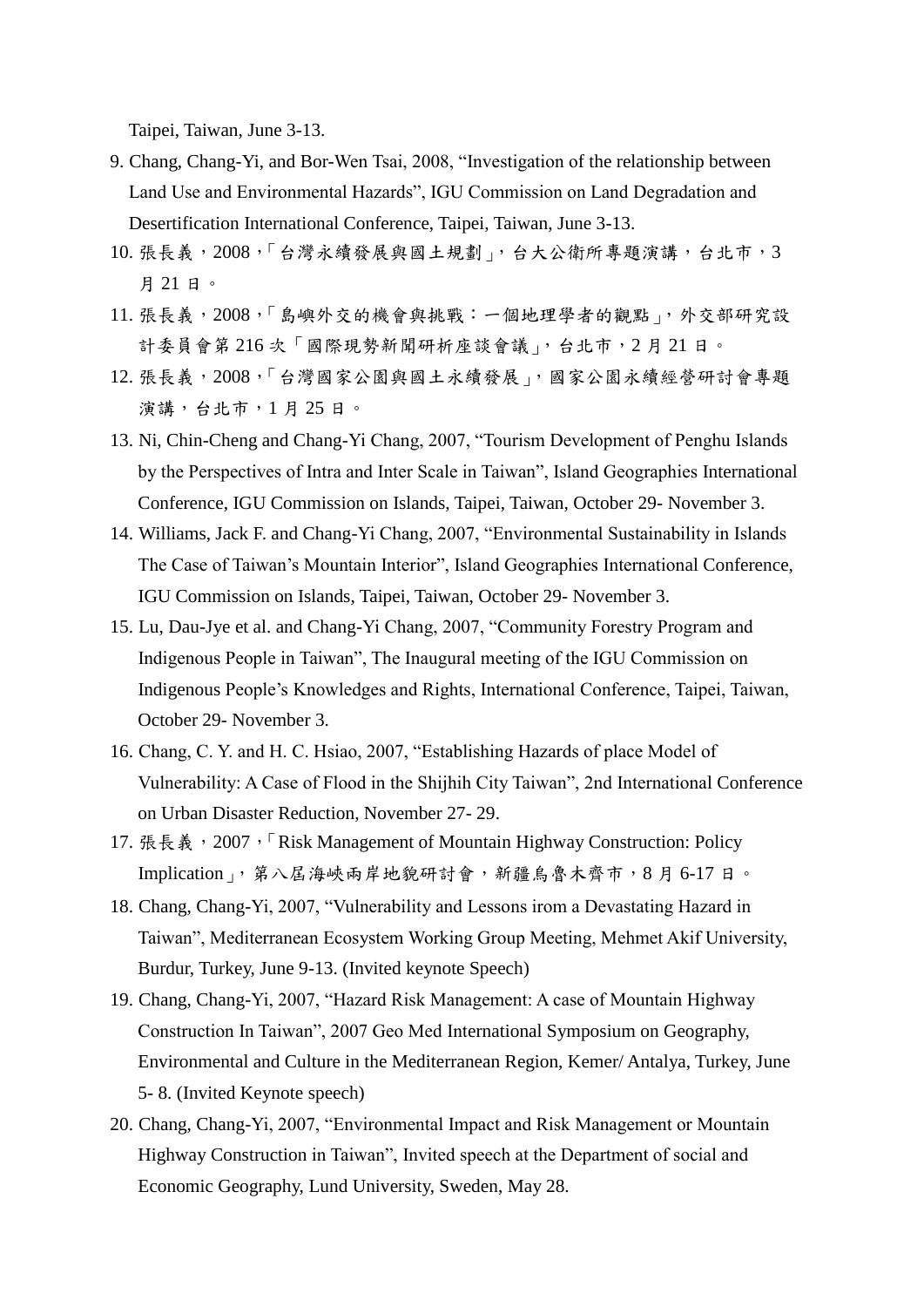Taipei, Taiwan, June 3-13.

- 9. Chang, Chang-Yi, and Bor-Wen Tsai, 2008, "Investigation of the relationship between Land Use and Environmental Hazards", IGU Commission on Land Degradation and Desertification International Conference, Taipei, Taiwan, June 3-13.
- 10. 張長義, 2008,「台灣永續發展與國土規劃」, 台大公衛所專題演講, 台北市, 3 月 21 日。
- 11. 張長義,2008,「島嶼外交的機會與挑戰:一個地理學者的觀點」,外交部研究設 計委員會第 216次「國際現勢新聞研析座談會議」,台北市, 2月 21日。
- 12. 張長義, 2008, 「台灣國家公園與國土永續發展」, 國家公園永續經營研討會專題 演講,台北市,1 月 25 日。
- 13. Ni, Chin-Cheng and Chang-Yi Chang, 2007, "Tourism Development of Penghu Islands by the Perspectives of Intra and Inter Scale in Taiwan", Island Geographies International Conference, IGU Commission on Islands, Taipei, Taiwan, October 29- November 3.
- 14. Williams, Jack F. and Chang-Yi Chang, 2007, "Environmental Sustainability in Islands The Case of Taiwan's Mountain Interior", Island Geographies International Conference, IGU Commission on Islands, Taipei, Taiwan, October 29- November 3.
- 15. Lu, Dau-Jye et al. and Chang-Yi Chang, 2007, "Community Forestry Program and Indigenous People in Taiwan", The Inaugural meeting of the IGU Commission on Indigenous People's Knowledges and Rights, International Conference, Taipei, Taiwan, October 29- November 3.
- 16. Chang, C. Y. and H. C. Hsiao, 2007, "Establishing Hazards of place Model of Vulnerability: A Case of Flood in the Shijhih City Taiwan", 2nd International Conference on Urban Disaster Reduction, November 27- 29.
- 17. 張長義, 2007, 「Risk Management of Mountain Highway Construction: Policy Implication」,第八屆海峽兩岸地貌研討會,新疆烏魯木齊市,8 月 6-17 日。
- 18. Chang, Chang-Yi, 2007, "Vulnerability and Lessons irom a Devastating Hazard in Taiwan", Mediterranean Ecosystem Working Group Meeting, Mehmet Akif University, Burdur, Turkey, June 9-13. (Invited keynote Speech)
- 19. Chang, Chang-Yi, 2007, "Hazard Risk Management: A case of Mountain Highway Construction In Taiwan", 2007 Geo Med International Symposium on Geography, Environmental and Culture in the Mediterranean Region, Kemer/ Antalya, Turkey, June 5- 8. (Invited Keynote speech)
- 20. Chang, Chang-Yi, 2007, "Environmental Impact and Risk Management or Mountain Highway Construction in Taiwan", Invited speech at the Department of social and Economic Geography, Lund University, Sweden, May 28.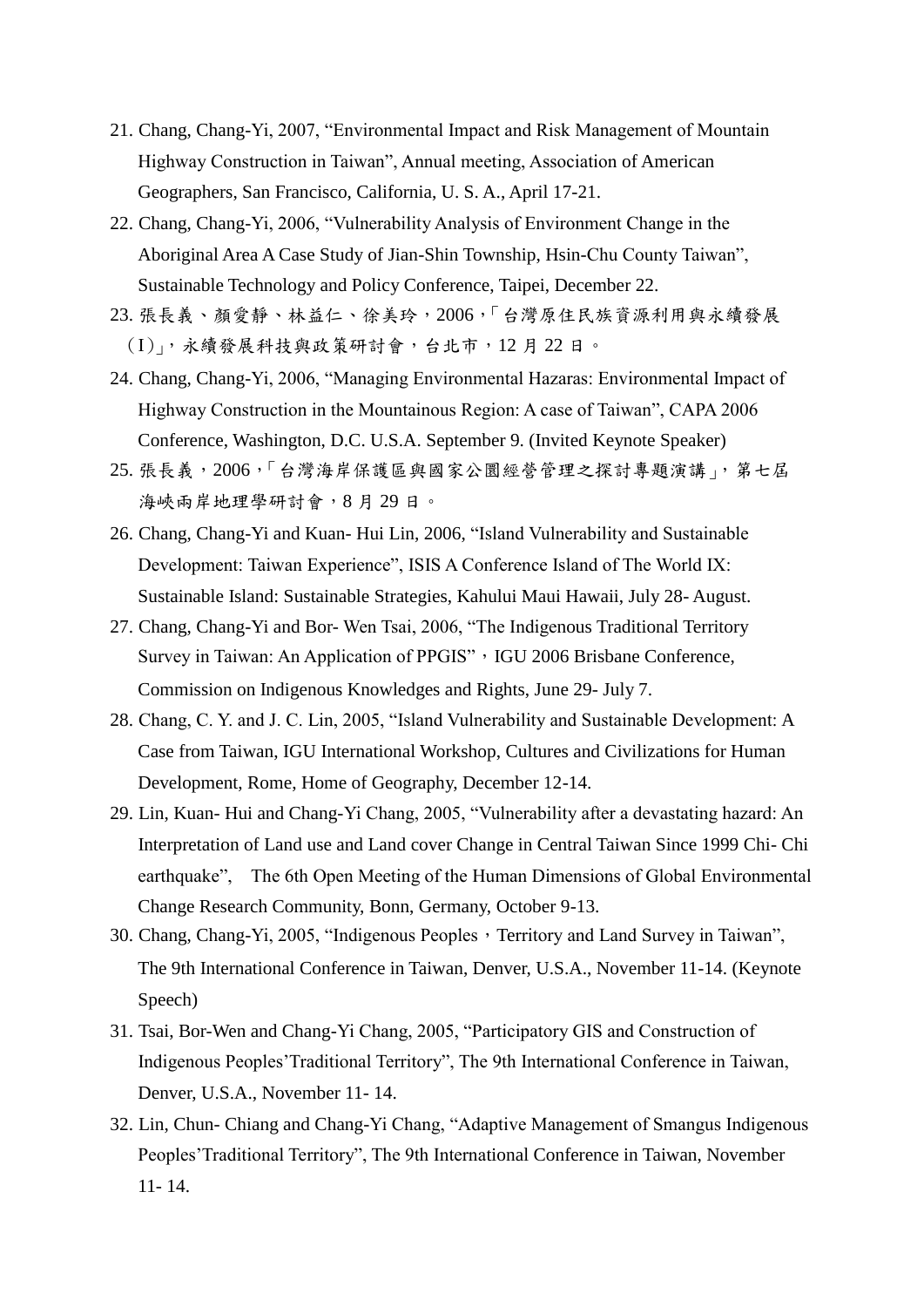- 21. Chang, Chang-Yi, 2007, "Environmental Impact and Risk Management of Mountain Highway Construction in Taiwan", Annual meeting, Association of American Geographers, San Francisco, California, U. S. A., April 17-21.
- 22. Chang, Chang-Yi, 2006, "Vulnerability Analysis of Environment Change in the Aboriginal Area A Case Study of Jian-Shin Township, Hsin-Chu County Taiwan", Sustainable Technology and Policy Conference, Taipei, December 22.
- 23. 張長義、顏愛靜、林益仁、徐美玲,2006,「台灣原住民族資源利用與永續發展 (I)」,永續發展科技與政策研討會,台北市,12 月 22 日。
- 24. Chang, Chang-Yi, 2006, "Managing Environmental Hazaras: Environmental Impact of Highway Construction in the Mountainous Region: A case of Taiwan", CAPA 2006 Conference, Washington, D.C. U.S.A. September 9. (Invited Keynote Speaker)
- 25. 張長義, 2006,「台灣海岸保護區與國家公圜經營管理之探討專題演講」, 第七屆 海峽兩岸地理學研討會,8月29日。
- 26. Chang, Chang-Yi and Kuan- Hui Lin, 2006, "Island Vulnerability and Sustainable Development: Taiwan Experience", ISIS A Conference Island of The World IX: Sustainable Island: Sustainable Strategies, Kahului Maui Hawaii, July 28- August.
- 27. Chang, Chang-Yi and Bor- Wen Tsai, 2006, "The Indigenous Traditional Territory Survey in Taiwan: An Application of PPGIS", IGU 2006 Brisbane Conference, Commission on Indigenous Knowledges and Rights, June 29- July 7.
- 28. Chang, C. Y. and J. C. Lin, 2005, "Island Vulnerability and Sustainable Development: A Case from Taiwan, IGU International Workshop, Cultures and Civilizations for Human Development, Rome, Home of Geography, December 12-14.
- 29. Lin, Kuan- Hui and Chang-Yi Chang, 2005, "Vulnerability after a devastating hazard: An Interpretation of Land use and Land cover Change in Central Taiwan Since 1999 Chi- Chi earthquake", The 6th Open Meeting of the Human Dimensions of Global Environmental Change Research Community, Bonn, Germany, October 9-13.
- 30. Chang, Chang-Yi, 2005, "Indigenous Peoples, Territory and Land Survey in Taiwan", The 9th International Conference in Taiwan, Denver, U.S.A., November 11-14. (Keynote Speech)
- 31. Tsai, Bor-Wen and Chang-Yi Chang, 2005, "Participatory GIS and Construction of Indigenous Peoples'Traditional Territory", The 9th International Conference in Taiwan, Denver, U.S.A., November 11- 14.
- 32. Lin, Chun- Chiang and Chang-Yi Chang, "Adaptive Management of Smangus Indigenous Peoples'Traditional Territory", The 9th International Conference in Taiwan, November 11- 14.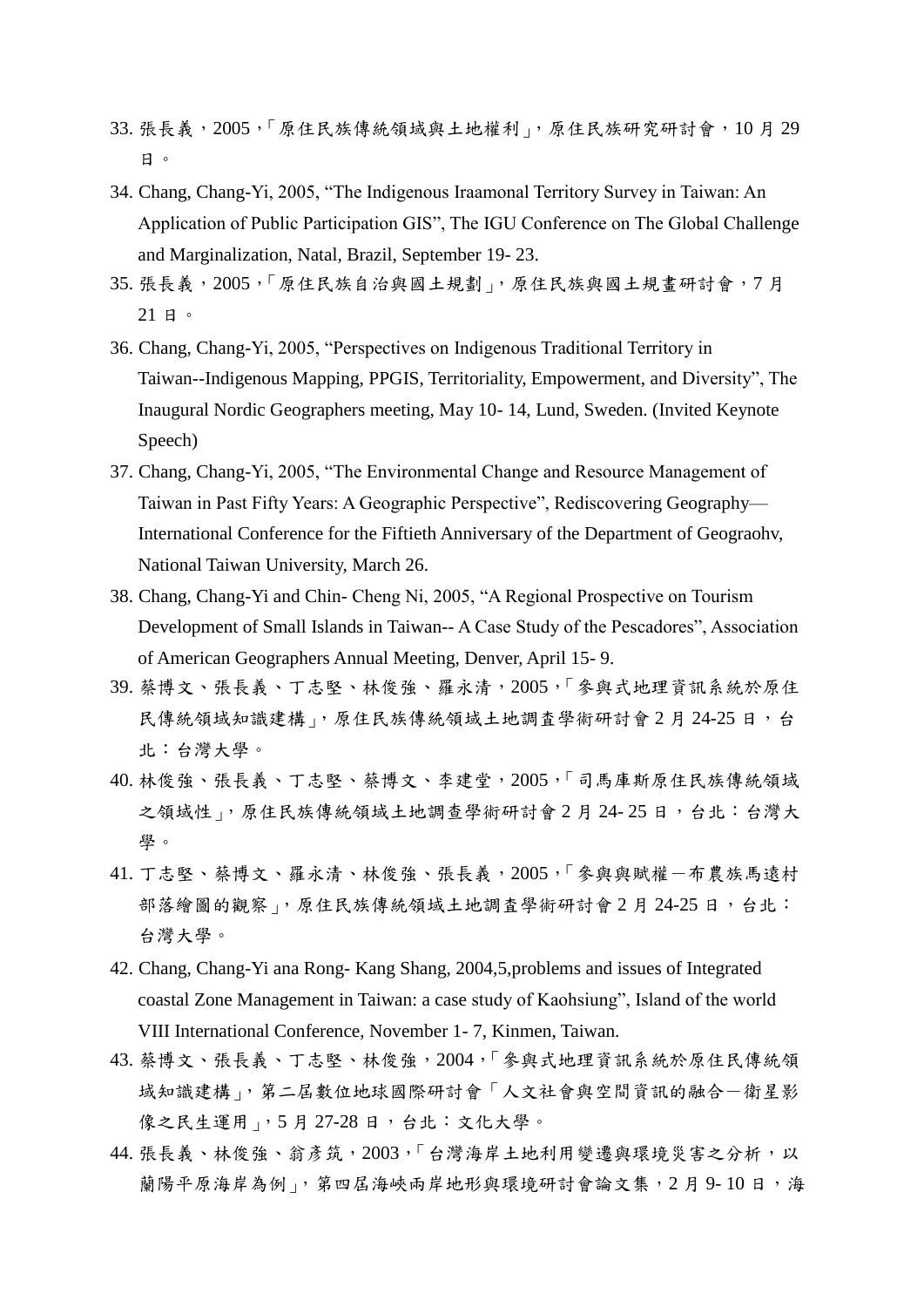- 33. 張長義,2005,「原住民族傳統領域與土地權利」,原住民族研究研討會,10 月 29 日。
- 34. Chang, Chang-Yi, 2005, "The Indigenous Iraamonal Territory Survey in Taiwan: An Application of Public Participation GIS", The IGU Conference on The Global Challenge and Marginalization, Natal, Brazil, September 19- 23.
- 35. 張長義, 2005, 「原住民族自治與國土規劃」, 原住民族與國土規畫研討會, 7月 21 日。
- 36. Chang, Chang-Yi, 2005, "Perspectives on Indigenous Traditional Territory in Taiwan--Indigenous Mapping, PPGIS, Territoriality, Empowerment, and Diversity", The Inaugural Nordic Geographers meeting, May 10- 14, Lund, Sweden. (Invited Keynote Speech)
- 37. Chang, Chang-Yi, 2005, "The Environmental Change and Resource Management of Taiwan in Past Fifty Years: A Geographic Perspective", Rediscovering Geography— International Conference for the Fiftieth Anniversary of the Department of Geograohv, National Taiwan University, March 26.
- 38. Chang, Chang-Yi and Chin- Cheng Ni, 2005, "A Regional Prospective on Tourism Development of Small Islands in Taiwan-- A Case Study of the Pescadores", Association of American Geographers Annual Meeting, Denver, April 15- 9.
- 39. 蔡博文、張長義、丁志堅、林俊強、羅永清,2005,「參與式地理資訊系統於原住 民傳統領域知識建構」,原住民族傳統領域土地調查學術研討會 2月 24-25 日, 台 北:台灣大學。
- 40. 林俊強、張長義、丁志堅、蔡博文、李建堂,2005,「司馬庫斯原住民族傳統領域 之領域性」,原住民族傳統領域土地調查學術研討會 2月 24-25 日,台北:台灣大 學。
- 41. 丁志堅、蔡博文、羅永清、林俊強、張長義, 2005,「參與與賦權一布農族馬遠村 部落繪圖的觀察」,原住民族傳統領域土地調查學術研討會 2月 24-25 日,台北: 台灣大學。
- 42. Chang, Chang-Yi ana Rong- Kang Shang, 2004,5,problems and issues of Integrated coastal Zone Management in Taiwan: a case study of Kaohsiung", Island of the world VIII International Conference, November 1- 7, Kinmen, Taiwan.
- 43. 蔡博文、張長義、丁志堅、林俊強,2004,「參與式地理資訊系統於原住民傳統領 域知識建構」,第二屆數位地球國際研討會「人文社會與空間資訊的融合一衛星影 像之民生運用」,5月27-28日,台北:文化大學。
- 44. 張長義、林俊強、翁彥筑, 2003,「台灣海岸土地利用變遷與環境災害之分析, 以 蘭陽平原海岸為例」, 第四屆海峽兩岸地形與環境研討會論文集, 2 月 9-10 日, 海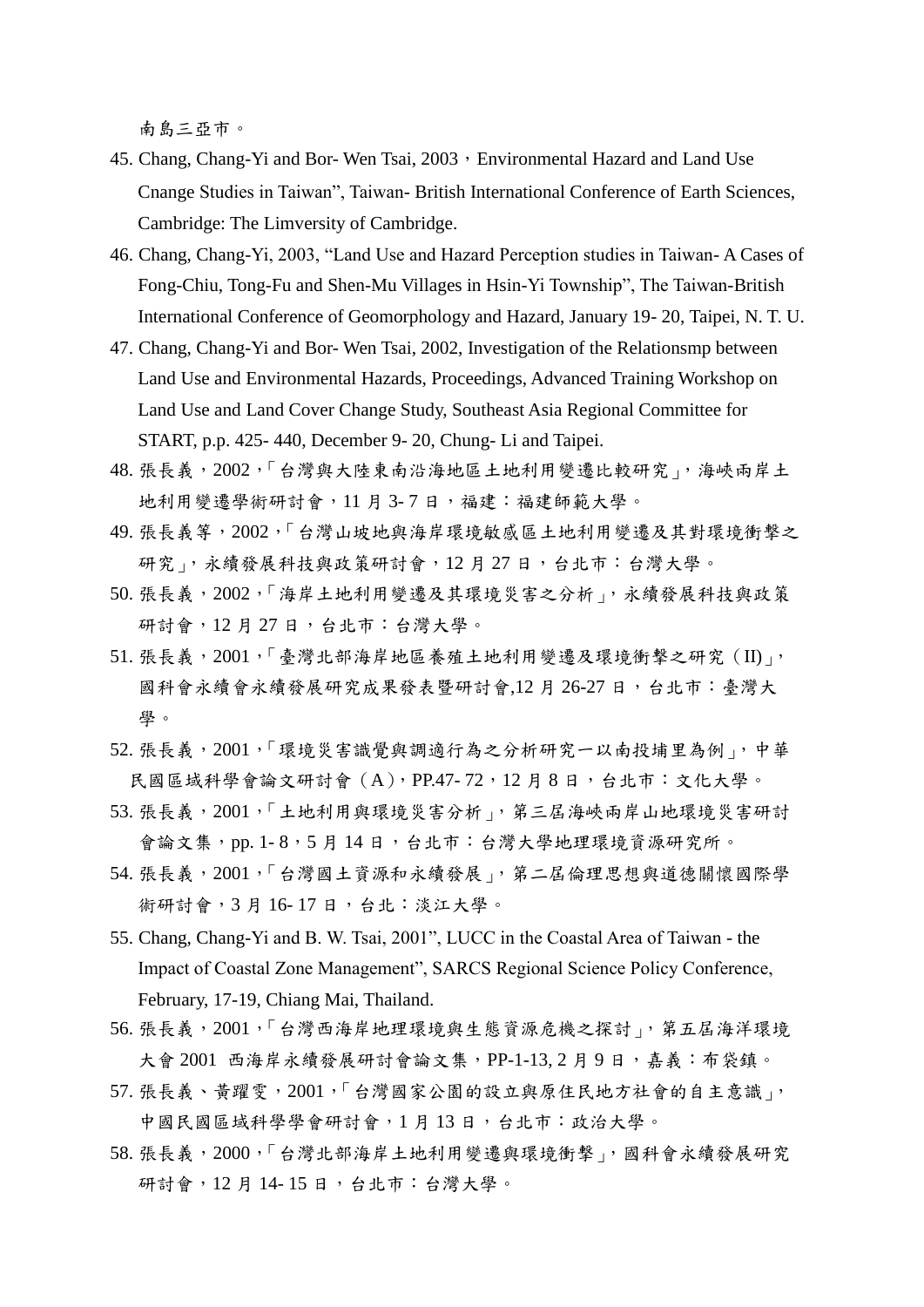南島三亞市。

- 45. Chang, Chang-Yi and Bor- Wen Tsai, 2003, Environmental Hazard and Land Use Cnange Studies in Taiwan", Taiwan- British International Conference of Earth Sciences, Cambridge: The Limversity of Cambridge.
- 46. Chang, Chang-Yi, 2003, "Land Use and Hazard Perception studies in Taiwan- A Cases of Fong-Chiu, Tong-Fu and Shen-Mu Villages in Hsin-Yi Township", The Taiwan-British International Conference of Geomorphology and Hazard, January 19- 20, Taipei, N. T. U.
- 47. Chang, Chang-Yi and Bor- Wen Tsai, 2002, Investigation of the Relationsmp between Land Use and Environmental Hazards, Proceedings, Advanced Training Workshop on Land Use and Land Cover Change Study, Southeast Asia Regional Committee for START, p.p. 425- 440, December 9- 20, Chung- Li and Taipei.
- 48. 張長義, 2002, 「台灣與大陸東南沿海地區土地利用變遷比較研究」, 海峽兩岸土 地利用變遷學術研討會,11 月 3- 7 日,福建:福建師範大學。
- 49. 張長義等, 2002,「台灣山坡地與海岸環境敏感區土地利用變遷及其對環境衝擊之 研究」,永續發展科技與政策研討會,12月27日,台北市:台灣大學。
- 50. 張長義, 2002, 「海岸土地利用變遷及其環境災害之分析」, 永續發展科技與政策 研討會,12 月 27 日,台北市:台灣大學。
- 51. 張長義, 2001, 「臺灣北部海岸地區養殖土地利用變遷及環境衝擊之研究 (II)」, 國科會永續會永續發展研究成果發表暨研討會,12 月 26-27 日,台北市:臺灣大 學。
- 52. 張長義, 2001, 「環境災害識覺與調適行為之分析研究一以南投埔里為例」, 中華 民國區域科學會論文研討會(A),PP.47- 72,12 月 8 日,台北市:文化大學。
- 53. 張長義,2001,「土地利用與環境災害分析」,第三屆海峽兩岸山地環境災害研討 會論文集,pp. 1-8,5月14日,台北市:台灣大學地理環境資源研究所。
- 54. 張長義, 2001, 「台灣國土資源和永續發展」, 第二屆倫理思想與道德關懷國際學 術研討會,3月16-17日,台北:淡江大學。
- 55. Chang, Chang-Yi and B. W. Tsai, 2001", LUCC in the Coastal Area of Taiwan the Impact of Coastal Zone Management", SARCS Regional Science Policy Conference, February, 17-19, Chiang Mai, Thailand.
- 56. 張長義, 2001, 「台灣西海岸地理環境與生態資源危機之探討」, 第五屆海洋環境 大會 2001 西海岸永續發展研討會論文集,PP-1-13, 2 月 9 日,嘉義:布袋鎮。
- 57. 張長義、黃躍雯, 2001, 「台灣國家公園的設立與原住民地方社會的自主意識」, 中國民國區域科學學會研討會,1 月 13 日,台北市:政治大學。
- 58. 張長義, 2000, 「台灣北部海岸土地利用變遷與環境衝擊」, 國科會永續發展研究 研討會,12 月 14- 15 日,台北市:台灣大學。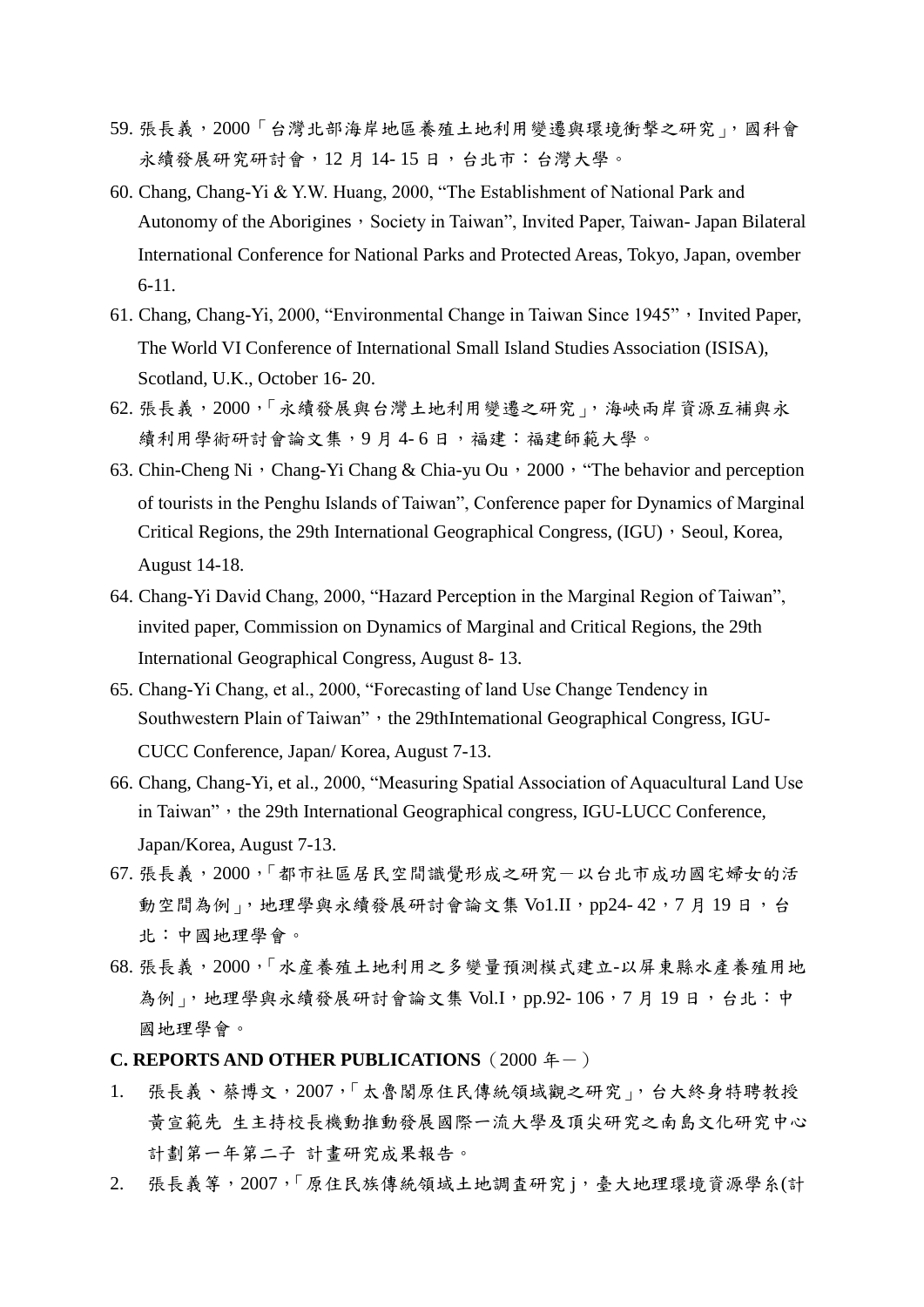- 59. 張長義, 2000「台灣北部海岸地區養殖土地利用變遷與環境衝擊之研究」, 國科會 永續發展研究研討會,12月14-15日,台北市:台灣大學。
- 60. Chang, Chang-Yi & Y.W. Huang, 2000, "The Establishment of National Park and Autonomy of the Aborigines, Society in Taiwan", Invited Paper, Taiwan- Japan Bilateral International Conference for National Parks and Protected Areas, Tokyo, Japan, ovember 6-11.
- 61. Chang, Chang-Yi, 2000, "Environmental Change in Taiwan Since 1945", Invited Paper, The World VI Conference of International Small Island Studies Association (ISISA), Scotland, U.K., October 16- 20.
- 62. 張長義,2000,「永續發展與台灣土地利用變遷之研究」,海峽兩岸資源互補與永 續利用學術研討會論文集,9月4-6日,福建:福建師範大學。
- 63. Chin-Cheng Ni, Chang-Yi Chang & Chia-yu Ou, 2000, "The behavior and perception of tourists in the Penghu Islands of Taiwan", Conference paper for Dynamics of Marginal Critical Regions, the 29th International Geographical Congress,  $(\text{IGU})$ , Seoul, Korea, August 14-18.
- 64. Chang-Yi David Chang, 2000, "Hazard Perception in the Marginal Region of Taiwan", invited paper, Commission on Dynamics of Marginal and Critical Regions, the 29th International Geographical Congress, August 8- 13.
- 65. Chang-Yi Chang, et al., 2000, "Forecasting of land Use Change Tendency in Southwestern Plain of Taiwan", the 29thIntemational Geographical Congress, IGU-CUCC Conference, Japan/ Korea, August 7-13.
- 66. Chang, Chang-Yi, et al., 2000, "Measuring Spatial Association of Aquacultural Land Use in Taiwan", the 29th International Geographical congress, IGU-LUCC Conference, Japan/Korea, August 7-13.
- 67. 張長義,2000,「都市社區居民空間識覺形成之研究-以台北市成功國宅婦女的活 動空間為例」,地理學與永續發展研討會論文集 Vo1.II, pp24-42,7月19日,台 北:中國地理學會。
- 68. 張長義,2000,「水産養殖土地利用之多變量預測模式建立-以屏東縣水產養殖用地 為例」,地理學與永續發展研討會論文集 Vol.I, pp.92-106,7月19日,台北:中 國地理學會。
- **C. REPORTS AND OTHER PUBLICATIONS** (2000 年-)
- 1. 張長義、蔡博文,2007,「太魯閣原住民傳統領域觀之研究」,台大終身特聘教授 黃宣範先 生主持校長機動推動發展國際一流大學及頂尖研究之南島文化研究中心 計劃第一年第二子 計畫研究成果報告。
- 2. 張長義等,2007,「原住民族傳統領域土地調査研究 j,臺大地理環境資源學糸(計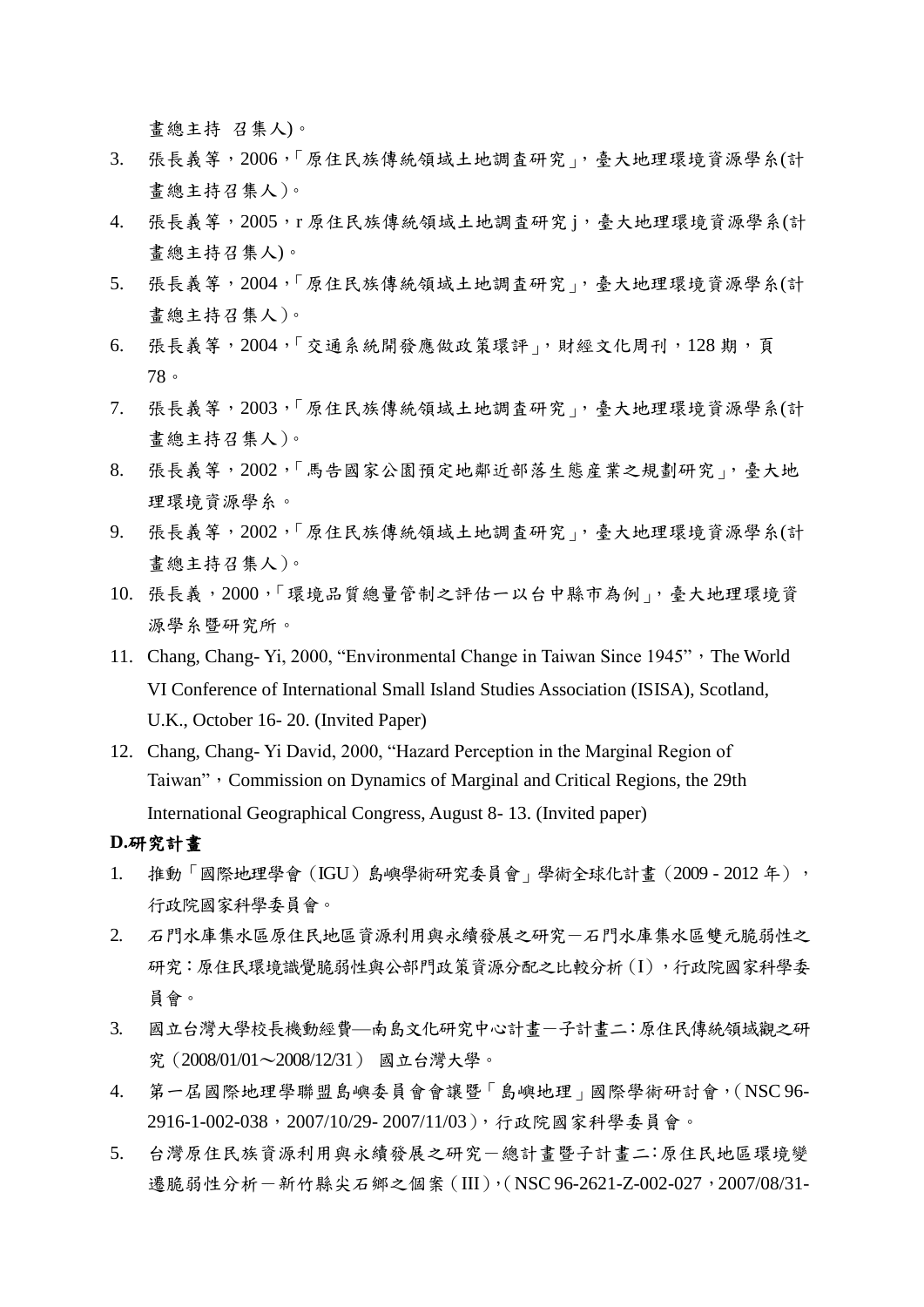畫總主持 召集人)。

- 3. 張長義等,2006,「原住民族傳統領域土地調査研究」,臺大地理環境資源學糸(計 畫總主持召集人)。
- 4. 張長義等,2005,r 原住民族傳統領域土地調査研究 j,臺大地理環境資源學系(計 畫總主持召集人)。
- 5. 張長義等,2004,「原住民族傳統領域土地調査研究」,臺大地理環境資源學糸(計 畫總主持召集人)。
- 6. 張長義等,2004,「交通系統開發應做政策環評」,財經文化周刊,128 期,頁 78。
- 7. 張長義等,2003,「原住民族傳統領域土地調査研究」,臺大地理環境資源學系(計 畫總主持召集人)。
- 8. 張長義等,2002,「馬告國家公園預定地鄰近部落生態産業之規劃研究」,臺大地 理環境資源學糸。
- 9. 張長義等,2002,「原住民族傳統領域土地調査研究」,臺大地理環境資源學糸(計 畫總主持召集人)。
- 10. 張長義,2000,「環境品質總量管制之評估一以台中縣市為例」,臺大地理環境資 源學糸暨研究所。
- 11. Chang, Chang- Yi, 2000, "Environmental Change in Taiwan Since 1945", The World VI Conference of International Small Island Studies Association (ISISA), Scotland, U.K., October 16- 20. (Invited Paper)
- 12. Chang, Chang- Yi David, 2000, "Hazard Perception in the Marginal Region of Taiwan", Commission on Dynamics of Marginal and Critical Regions, the 29th International Geographical Congress, August 8- 13. (Invited paper)

## **D.**研究計畫

- 1. 推動「國際地理學會 (IGU)島嶼學術研究委員會」學術全球化計畫 (2009 2012年), 行政院國家科學委員會。
- 2. 石門水庫集水區原住民地區資源利用與永續發展之研究-石門水庫集水區雙元脆弱性之 研究:原住民環境識覺脆弱性與公部門政策資源分配之比較分析(I),行政院國家科學委 員會。
- 3. 國立台灣大學校長機動經費—南島文化研究中心計書一子計書二:原住民傳統領域觀之研 究(2008/01/01〜2008/12/31) 國立台灣大學。
- 4. 第一屆國際地理學聯盟島嶼委員會會讓暨「島嶼地理」國際學術研討會,(NSC 96- 2916-1-002-038,2007/10/29- 2007/11/03),行政院國家科學委員會。
- 5. 台灣原住民族資源利用與永續發展之研究一總計書暨子計書二:原住民地區環境變 遷脆弱性分析-新竹縣尖石鄉之個案 (III), (NSC 96-2621-Z-002-027, 2007/08/31-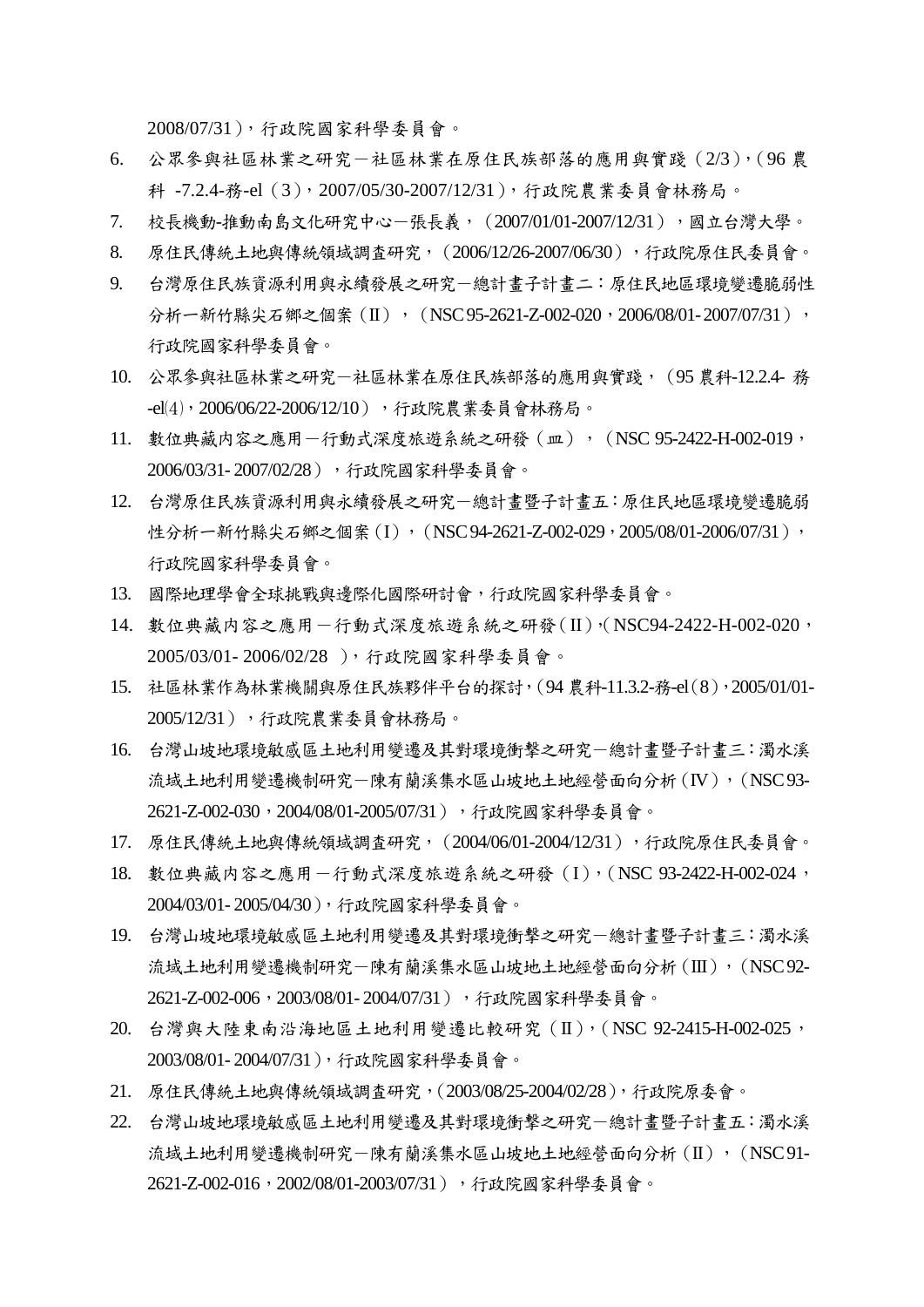2008/07/31),行政院國家科學委員會。

- 6. 公眾參與社區林業之研究-社區林業在原住民族部落的應用與實踐(2/3),(96 農 科 -7.2.4-務-el(3),2007/05/30-2007/12/31),行政院農業委員會林務局。
- 7. 校長機動-推動南島文化研究中心-張長義,(2007/01/01-2007/12/31),國立台灣大學。
- 8. 原住民傳統土地與傳統領域調査研究,(2006/12/26-2007/06/30),行政院原住民委員會。
- 9. 台灣原住民族資源利用與永續發展之研究-總計畫子計畫二:原住民地區環境變遷脆弱性 分析一新竹縣尖石鄉之個案(II),(NSC 95-2621-Z-002-020,2006/08/01-2007/07/31), 行政院國家科學委員會。
- 10. 公眾參與社區林業之研究-社區林業在原住民族部落的應用與實踐,(95 農科-12.2.4- 務 -el(4), 2006/06/22-2006/12/10), 行政院農業委員會林務局。
- 11. 數位典藏内容之應用一行動式深度旅遊系統之研發 (皿), (NSC 95-2422-H-002-019, 2006/03/31- 2007/02/28),行政院國家科學委員會。
- 12. 台灣原住民族資源利用與永續發展之研究-總計畫暨子計畫五:原住民地區環境變遷脆弱 性分析一新竹縣尖石鄉之個案(I),(NSC 94-2621-Z-002-029,2005/08/01-2006/07/31), 行政院國家科學委員會。
- 13. 國際地理學會全球挑戰與邊際化國際研討會,行政院國家科學委員會。
- 14. 數位典藏内容之應用一行動式深度旅遊系統之研發(II),(NSC94-2422-H-002-020, 2005/03/01- 2006/02/28 ),行政院國家科學委員會。
- 15. 社區林業作為林業機關與原住民族夥伴平台的探討,(94 農科-11.3.2-務-el(8),2005/01/01- 2005/12/31),行政院農業委員會林務局。
- 16. 台灣山坡地環境敏感區土地利用變遷及其對環境衝撃之研究-總計畫暨子計畫三:濁水溪 流域土地利用變遷機制研究一陳有蘭溪集水區山坡地土地經營面向分析(IV), (NSC 93-2621-Z-002-030, 2004/08/01-2005/07/31), 行政院國家科學委員會。
- 17. 原住民傳統土地與傳統領域調査研究,(2004/06/01-2004/12/31),行政院原住民委員會。
- 18. 數位典藏内容之應用一行動式深度旅遊系統之研發(I), (NSC 93-2422-H-002-024, 2004/03/01- 2005/04/30),行政院國家科學委員會。
- 19. 台灣山坡地環境敏感區土地利用變遷及其對環境衝撃之研究-總計畫暨子計畫三:濁水溪 流域土地利用變遷機制研究一陳有蘭溪集水區山坡地土地經營面向分析(III), (NSC 92-2621-Z-002-006, 2003/08/01-2004/07/31), 行政院國家科學委員會。
- 20. 台灣與大陸東南沿海地區土地利用變遷比較研究(II),(NSC 92-2415-H-002-025, 2003/08/01- 2004/07/31),行政院國家科學委員會。
- 21. 原住民傳統土地與傳統領域調査研究,(2003/08/25-2004/02/28),行政院原委會。
- 22. 台灣山坡地環境敏感區土地利用變遷及其對環境衝撃之研究-總計畫暨子計畫五:濁水溪 流域土地利用變遷機制研究-陳有蘭溪集水區山坡地土地經營面向分析(II), (NSC91-2621-Z-002-016, 2002/08/01-2003/07/31), 行政院國家科學委員會。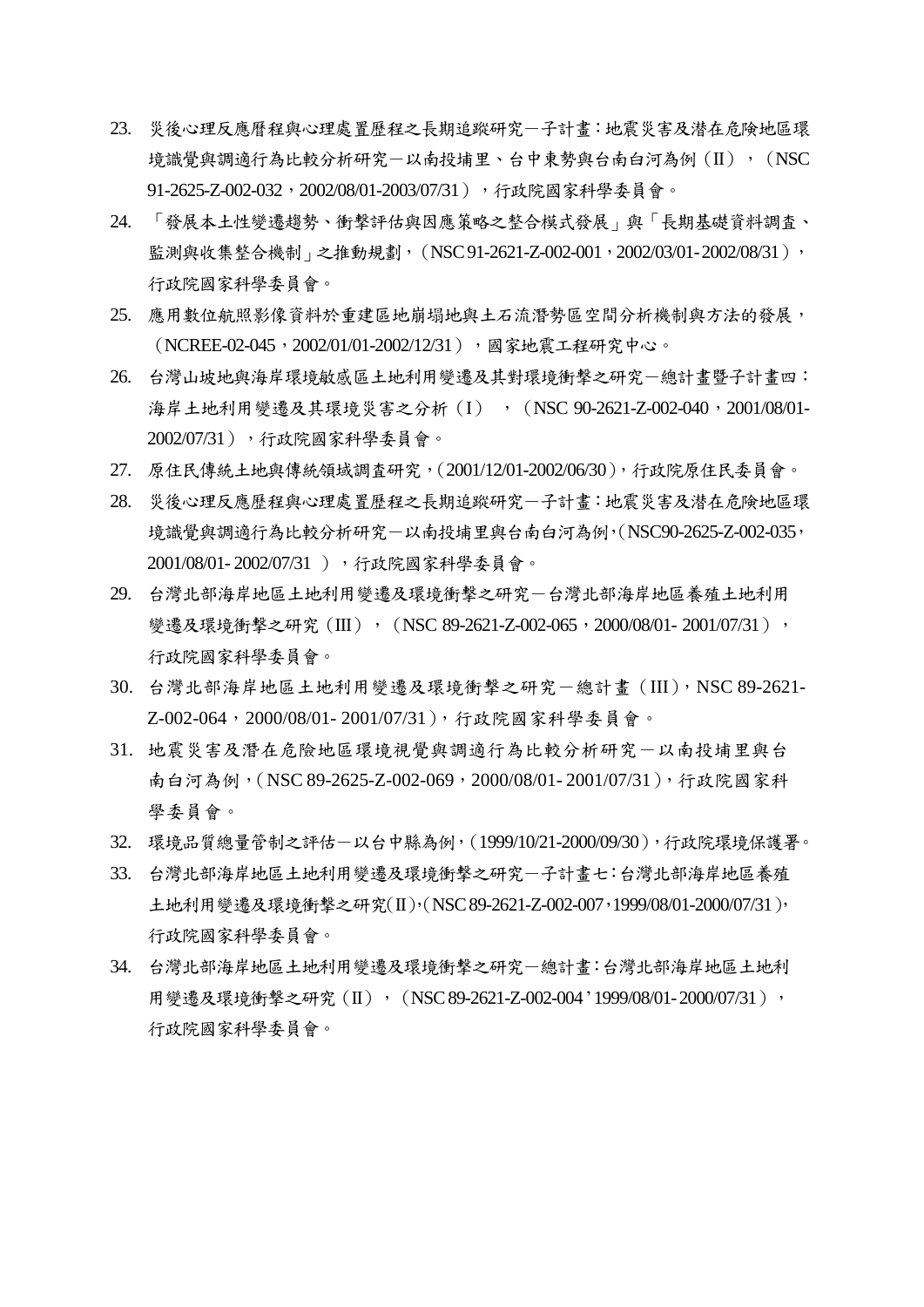- 23. 災後心理反應曆程與心理處置歷程之長期追蹤研究-子計畫:地震災害及潜在危険地區環 境識覺與調適行為比較分析研究-以南投埔里、台中東勢與台南白河為例(II),(NSC 91-2625-Z-002-032,2002/08/01-2003/07/31),行政院國家科學委員會。
- 24. 「發展本土性變遷趨勢、衝撃評估與因應策略之整合模式發展」與「長期基礎資料調査、 監測與收集整合機制」之推動規劃, (NSC 91-2621-Z-002-001, 2002/03/01-2002/08/31), 行政院國家科學委員會。
- 25. 應用數位航照影像資料於重建區地崩塌地與土石流潛勢區空間分析機制與方法的發展, (NCREE-02-045, 2002/01/01-2002/12/31), 國家地震工程研究中心。
- 26. 台灣山坡地與海岸環境敏感區土地利用變遷及其對環境衝擊之研究一總計畫暨子計畫四: 海岸土地利用變遷及其環境災害之分析(I), (NSC 90-2621-Z-002-040,2001/08/01-2002/07/31),行政院國家科學委員會。
- 27. 原住民傳統土地與傳統領域調査研究,(2001/12/01-2002/06/30),行政院原住民委員會。
- 28. 災後心理反應歷程與心理處置歷程之長期追蹤研究-子計畫:地震災害及潜在危険地區環 境識覺與調適行為比較分析研究-以南投埔里與台南白河為例,(NSC90-2625-Z-002-035, 2001/08/01- 2002/07/31 ),行政院國家科學委員會。
- 29. 台灣北部海岸地區土地利用變遷及環境衝撃之研究-台灣北部海岸地區養殖土地利用 變遷及環境衝擊之研究 (III), (NSC 89-2621-Z-002-065, 2000/08/01- 2001/07/31), 行政院國家科學委員會。
- 30. 台灣北部海岸地區土地利用變遷及環境衝擊之研究-總計書 (III), NSC 89-2621-Z-002-064, 2000/08/01-2001/07/31), 行政院國家科學委員會。
- 31. 地震災害及潛在危險地區環境視覺與調適行為比較分析研究-以南投埔里與台 南白河為例,(NSC 89-2625-Z-002-069,2000/08/01-2001/07/31),行政院國家科 學委員會。
- 32. 環境品質總量管制之評估-以台中縣為例,(1999/10/21-2000/09/30),行政院環境保護署。
- 33. 台灣北部海岸地區土地利用變遷及環境衝撃之研究-子計畫七:台灣北部海岸地區養殖 土地利用變遷及環境衝撃之研究(II),(NSC 89-2621-Z-002-007,1999/08/01-2000/07/31), 行政院國家科學委員會。
- 34. 台灣北部海岸地區土地利用變遷及環境衝擊之研究-總計畫:台灣北部海岸地區土地利 用變遷及環境衝撃之研究 (II), (NSC 89-2621-Z-002-004 '1999/08/01-2000/07/31), 行政院國家科學委員會。